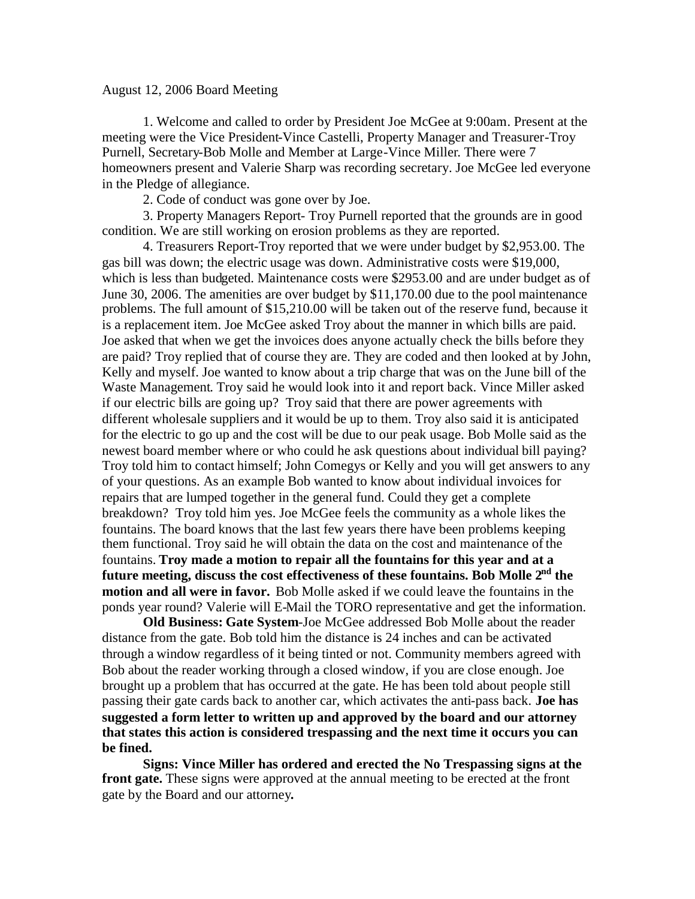## August 12, 2006 Board Meeting

1. Welcome and called to order by President Joe McGee at 9:00am. Present at the meeting were the Vice President-Vince Castelli, Property Manager and Treasurer-Troy Purnell, Secretary-Bob Molle and Member at Large-Vince Miller. There were 7 homeowners present and Valerie Sharp was recording secretary. Joe McGee led everyone in the Pledge of allegiance.

2. Code of conduct was gone over by Joe.

3. Property Managers Report- Troy Purnell reported that the grounds are in good condition. We are still working on erosion problems as they are reported.

4. Treasurers Report-Troy reported that we were under budget by \$2,953.00. The gas bill was down; the electric usage was down. Administrative costs were \$19,000, which is less than budgeted. Maintenance costs were \$2953.00 and are under budget as of June 30, 2006. The amenities are over budget by \$11,170.00 due to the pool maintenance problems. The full amount of \$15,210.00 will be taken out of the reserve fund, because it is a replacement item. Joe McGee asked Troy about the manner in which bills are paid. Joe asked that when we get the invoices does anyone actually check the bills before they are paid? Troy replied that of course they are. They are coded and then looked at by John, Kelly and myself. Joe wanted to know about a trip charge that was on the June bill of the Waste Management. Troy said he would look into it and report back. Vince Miller asked if our electric bills are going up? Troy said that there are power agreements with different wholesale suppliers and it would be up to them. Troy also said it is anticipated for the electric to go up and the cost will be due to our peak usage. Bob Molle said as the newest board member where or who could he ask questions about individual bill paying? Troy told him to contact himself; John Comegys or Kelly and you will get answers to any of your questions. As an example Bob wanted to know about individual invoices for repairs that are lumped together in the general fund. Could they get a complete breakdown? Troy told him yes. Joe McGee feels the community as a whole likes the fountains. The board knows that the last few years there have been problems keeping them functional. Troy said he will obtain the data on the cost and maintenance of the fountains. **Troy made a motion to repair all the fountains for this year and at a future meeting, discuss the cost effectiveness of these fountains. Bob Molle 2nd the motion and all were in favor.** Bob Molle asked if we could leave the fountains in the ponds year round? Valerie will E-Mail the TORO representative and get the information.

**Old Business: Gate System**-Joe McGee addressed Bob Molle about the reader distance from the gate. Bob told him the distance is 24 inches and can be activated through a window regardless of it being tinted or not. Community members agreed with Bob about the reader working through a closed window, if you are close enough. Joe brought up a problem that has occurred at the gate. He has been told about people still passing their gate cards back to another car, which activates the anti-pass back. **Joe has suggested a form letter to written up and approved by the board and our attorney that states this action is considered trespassing and the next time it occurs you can be fined.**

**Signs: Vince Miller has ordered and erected the No Trespassing signs at the front gate.** These signs were approved at the annual meeting to be erected at the front gate by the Board and our attorney**.**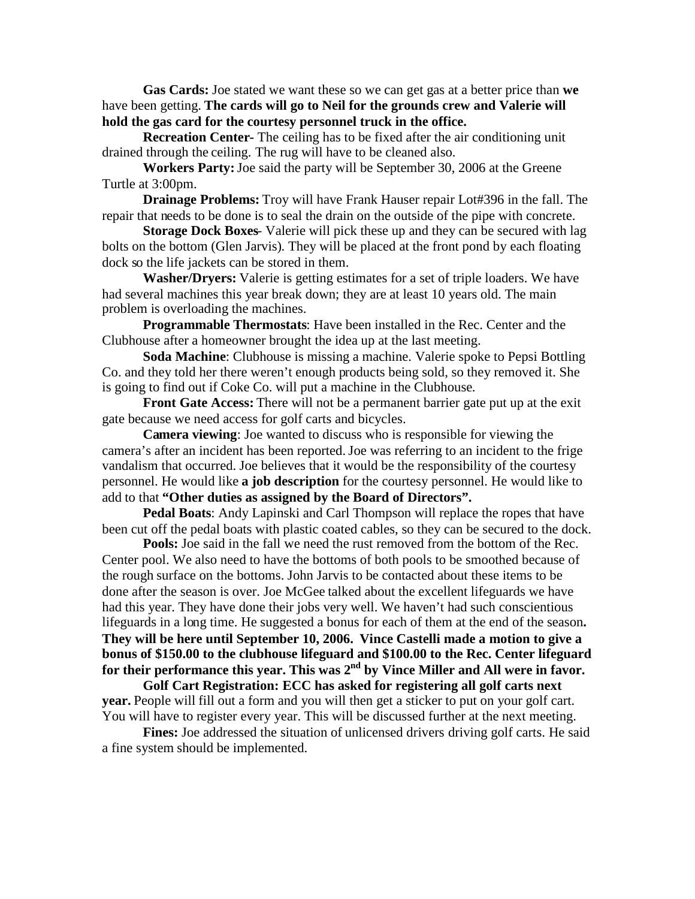**Gas Cards:** Joe stated we want these so we can get gas at a better price than **we** have been getting. **The cards will go to Neil for the grounds crew and Valerie will hold the gas card for the courtesy personnel truck in the office.**

**Recreation Center-** The ceiling has to be fixed after the air conditioning unit drained through the ceiling. The rug will have to be cleaned also.

**Workers Party:**Joe said the party will be September 30, 2006 at the Greene Turtle at 3:00pm.

**Drainage Problems:** Troy will have Frank Hauser repair Lot#396 in the fall. The repair that needs to be done is to seal the drain on the outside of the pipe with concrete.

**Storage Dock Boxes**- Valerie will pick these up and they can be secured with lag bolts on the bottom (Glen Jarvis). They will be placed at the front pond by each floating dock so the life jackets can be stored in them.

**Washer/Dryers:** Valerie is getting estimates for a set of triple loaders. We have had several machines this year break down; they are at least 10 years old. The main problem is overloading the machines.

**Programmable Thermostats**: Have been installed in the Rec. Center and the Clubhouse after a homeowner brought the idea up at the last meeting.

**Soda Machine**: Clubhouse is missing a machine. Valerie spoke to Pepsi Bottling Co. and they told her there weren't enough products being sold, so they removed it. She is going to find out if Coke Co. will put a machine in the Clubhouse.

**Front Gate Access:** There will not be a permanent barrier gate put up at the exit gate because we need access for golf carts and bicycles.

**Camera viewing**: Joe wanted to discuss who is responsible for viewing the camera's after an incident has been reported.Joe was referring to an incident to the frige vandalism that occurred. Joe believes that it would be the responsibility of the courtesy personnel. He would like **a job description** for the courtesy personnel. He would like to add to that **"Other duties as assigned by the Board of Directors".**

**Pedal Boats**: Andy Lapinski and Carl Thompson will replace the ropes that have been cut off the pedal boats with plastic coated cables, so they can be secured to the dock.

**Pools:** Joe said in the fall we need the rust removed from the bottom of the Rec. Center pool. We also need to have the bottoms of both pools to be smoothed because of the rough surface on the bottoms. John Jarvis to be contacted about these items to be done after the season is over. Joe McGee talked about the excellent lifeguards we have had this year. They have done their jobs very well. We haven't had such conscientious lifeguards in a long time. He suggested a bonus for each of them at the end of the season**. They will be here until September 10, 2006. Vince Castelli made a motion to give a bonus of \$150.00 to the clubhouse lifeguard and \$100.00 to the Rec. Center lifeguard for their performance this year. This was 2nd by Vince Miller and All were in favor.**

**Golf Cart Registration: ECC has asked for registering all golf carts next year.** People will fill out a form and you will then get a sticker to put on your golf cart. You will have to register every year. This will be discussed further at the next meeting.

**Fines:** Joe addressed the situation of unlicensed drivers driving golf carts. He said a fine system should be implemented.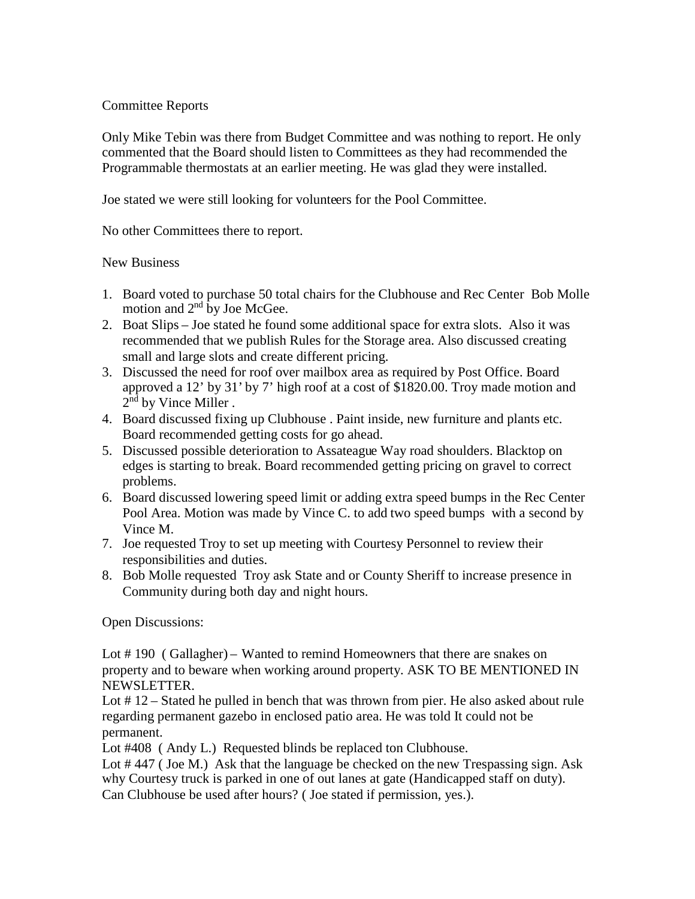## Committee Reports

Only Mike Tebin was there from Budget Committee and was nothing to report. He only commented that the Board should listen to Committees as they had recommended the Programmable thermostats at an earlier meeting. He was glad they were installed.

Joe stated we were still looking for volunteers for the Pool Committee.

No other Committees there to report.

## New Business

- 1. Board voted to purchase 50 total chairs for the Clubhouse and Rec Center Bob Molle motion and  $2<sup>nd</sup>$  by Joe McGee.
- 2. Boat Slips Joe stated he found some additional space for extra slots. Also it was recommended that we publish Rules for the Storage area. Also discussed creating small and large slots and create different pricing.
- 3. Discussed the need for roof over mailbox area as required by Post Office. Board approved a 12' by 31' by 7' high roof at a cost of \$1820.00. Troy made motion and  $2<sup>nd</sup>$  by Vince Miller .
- 4. Board discussed fixing up Clubhouse . Paint inside, new furniture and plants etc. Board recommended getting costs for go ahead.
- 5. Discussed possible deterioration to Assateague Way road shoulders. Blacktop on edges is starting to break. Board recommended getting pricing on gravel to correct problems.
- 6. Board discussed lowering speed limit or adding extra speed bumps in the Rec Center Pool Area. Motion was made by Vince C. to add two speed bumps with a second by Vince M.
- 7. Joe requested Troy to set up meeting with Courtesy Personnel to review their responsibilities and duties.
- 8. Bob Molle requested Troy ask State and or County Sheriff to increase presence in Community during both day and night hours.

Open Discussions:

Lot #190 (Gallagher) – Wanted to remind Homeowners that there are snakes on property and to beware when working around property. ASK TO BE MENTIONED IN NEWSLETTER.

Lot # 12 – Stated he pulled in bench that was thrown from pier. He also asked about rule regarding permanent gazebo in enclosed patio area. He was told It could not be permanent.

Lot #408 ( Andy L.) Requested blinds be replaced ton Clubhouse.

Lot #447 (Joe M.) Ask that the language be checked on the new Trespassing sign. Ask why Courtesy truck is parked in one of out lanes at gate (Handicapped staff on duty). Can Clubhouse be used after hours? ( Joe stated if permission, yes.).